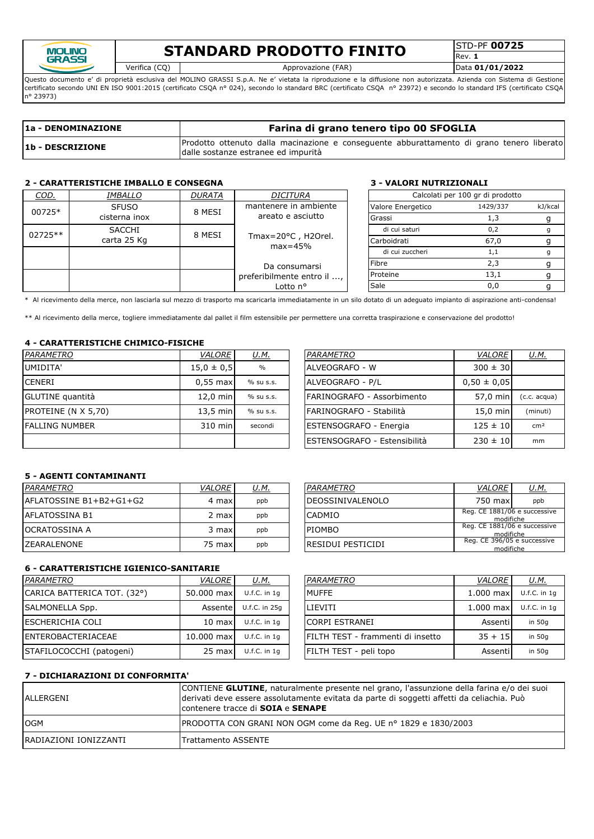

## **STANDARD PRODOTTO FINITO**

Rev. **1**

Verifica (CQ) Approvazione (FAR) Data **01/01/2022**

Questo documento e' di proprietà esclusiva del MOLINO GRASSI S.p.A. Ne e' vietata la riproduzione e la diffusione non autorizzata. Azienda con Sistema di Gestione certificato secondo UNI EN ISO 9001:2015 (certificato CSQA nº 024), secondo lo standard BRC (certificato CSQA nº 23972) e secondo lo standard IFS (certificato CSQA n° 23973)

| 1a - DENOMINAZIONE | Farina di grano tenero tipo 00 SFOGLIA                                                                                           |  |  |  |  |  |  |  |  |  |
|--------------------|----------------------------------------------------------------------------------------------------------------------------------|--|--|--|--|--|--|--|--|--|
| 1b - DESCRIZIONE   | Prodotto ottenuto dalla macinazione e conseguente abburattamento di grano tenero liberato<br>dalle sostanze estranee ed impurità |  |  |  |  |  |  |  |  |  |

### **2 - CARATTERISTICHE IMBALLO E CONSEGNA 3 - VALORI NUTRIZIONALI**

| COD.          | <i>IMBALLO</i> | <b>DURATA</b> | <b>DICITURA</b>                             |  |                   | Calcolati per 100 gr di prodotto |         |
|---------------|----------------|---------------|---------------------------------------------|--|-------------------|----------------------------------|---------|
| 00725*        | <b>SFUSO</b>   | 8 MESI        | mantenere in ambiente                       |  | Valore Energetico | 1429/337                         | kJ/kcal |
| cisterna inox |                |               | areato e asciutto                           |  | Grassi            |                                  |         |
| 02725**       | <b>SACCHI</b>  | 8 MESI        |                                             |  | di cui saturi     | 0,2                              |         |
|               | carta 25 Kg    |               | Tmax= $20^{\circ}$ C, H2Orel.<br>$max=45%$  |  | Carboidrati       | 67,0                             |         |
|               |                |               |                                             |  | di cui zuccheri   | 1,1                              |         |
|               |                |               | Da consumarsi<br>preferibilmente entro il , |  | Fibre             |                                  |         |
|               |                |               |                                             |  | Proteine          | 13,1                             |         |
|               |                |               | Lotto n°                                    |  | Sale              | 0,0                              |         |

\* Al ricevimento della merce, non lasciarla sul mezzo di trasporto ma scaricarla immediatamente in un silo dotato di un adeguato impianto di aspirazione anti-condensa!

\*\* Al ricevimento della merce, togliere immediatamente dal pallet il film estensibile per permettere una corretta traspirazione e conservazione del prodotto!

### **4 - CARATTERISTICHE CHIMICO-FISICHE**

| PARAMETRO                  | VALORE             | <u>U.M.</u>   | PARAMETRO                            | <b>VALORE</b>   | <u>U.M.</u>     |
|----------------------------|--------------------|---------------|--------------------------------------|-----------------|-----------------|
| UMIDITA'                   | $15.0 \pm 0.5$     | $\frac{0}{0}$ | <b>IALVEOGRAFO - W</b>               | $300 \pm 30$    |                 |
| <b>ICENERI</b>             | $0.55$ max         | % su s.s.     | <b>ALVEOGRAFO - P/L</b>              | $0.50 \pm 0.05$ |                 |
| GLUTINE quantità           | $12.0$ min         | % su s.s.     | FARINOGRAFO - Assorbimento           | 57.0 min        | (c.c. acqua)    |
| <b>PROTEINE (N X 5,70)</b> | $13.5 \text{ min}$ | % su s.s.     | FARINOGRAFO - Stabilità              | $15.0$ min      | (minuti)        |
| <b>IFALLING NUMBER</b>     | $310$ min          | secondi       | <b>ESTENSOGRAFO - Energia</b>        | $125 \pm 10$    | cm <sup>2</sup> |
|                            |                    |               | <b>IESTENSOGRAFO - Estensibilità</b> | $230 \pm 10$    | mm              |

| <b>PARAMETRO</b>             | <b>VALORE</b>   | U.M.            |
|------------------------------|-----------------|-----------------|
| lalveografo - w              | $300 \pm 30$    |                 |
| ALVEOGRAFO - P/L             | $0,50 \pm 0,05$ |                 |
| FARINOGRAFO - Assorbimento   | 57,0 min        | $(c.c. acqua)$  |
| FARINOGRAFO - Stabilità      | 15,0 min        | (minuti)        |
| ESTENSOGRAFO - Energia       | $125 \pm 10$    | cm <sup>2</sup> |
| ESTENSOGRAFO - Estensibilità | $230 \pm 10$    | mm              |

### **5 - AGENTI CONTAMINANTI**

| PARAMETRO                | <b>VALORE</b> | U.M. | PARAMETRO                | <b>VALORE</b>                             | <u>U.M.</u> |
|--------------------------|---------------|------|--------------------------|-------------------------------------------|-------------|
| lAFLATOSSINE B1+B2+G1+G2 | 4 max         | ppb  | <b>IDEOSSINIVALENOLO</b> | 750 max                                   | ppb         |
| IAFLATOSSINA B1          | 2 max         | ppb  | <b>CADMIO</b>            | Reg. CE 1881/06 e successive<br>modifiche |             |
| IOCRATOSSINA A           | 3 max         | ppb  | <b>IPIOMBO</b>           | Reg. CE 1881/06 e successive<br>modifiche |             |
| <b>IZEARALENONE</b>      | 75 max        | ppb  | IRESIDUI PESTICIDI       | Reg. CE 396/05 e successive<br>modifiche  |             |

### **6 - CARATTERISTICHE IGIENICO-SANITARIE**

| PARAMETRO                   | <b>VALORE</b>    | <u>U.M.</u>    | PARAMETRO                          | VALORE      | <u>U.M.</u>      |
|-----------------------------|------------------|----------------|------------------------------------|-------------|------------------|
| CARICA BATTERICA TOT. (32°) | 50.000 max       | $U.f.C.$ in 1q | MUFFE                              | $1.000$ max | $U.f.C.$ in $1c$ |
| <b>SALMONELLA Spp.</b>      | Assentel         | U.f.C. in 25g  | <b>LIEVITI</b>                     | $1.000$ max | U.f.C. in $1q$   |
| IESCHERICHIA COLI           | $10 \text{ max}$ | $U.f.C.$ in 1q | <b>CORPI ESTRANEI</b>              | Assentil    | in 50g           |
| <b>IENTEROBACTERIACEAE</b>  | 10,000 max       | $U.f.C.$ in 1q | IFILTH TEST - frammenti di insetto | $35 + 15$   | in 50a           |
| STAFILOCOCCHI (patogeni)    | 25 max           | $U.f.C.$ in 1q | FILTH TEST - peli topo             | Assentil    | in 50g           |

| <i>PARAMETRO</i>        | <b>VALORE</b>                             | U.M. |  |  |
|-------------------------|-------------------------------------------|------|--|--|
| <b>DEOSSINIVALENOLO</b> | 750 max                                   | ppb  |  |  |
| CADMIO                  | Reg. CE 1881/06 e successive<br>modifiche |      |  |  |
| <b>PIOMBO</b>           | Reg. CE 1881/06 e successive<br>modifiche |      |  |  |
| RESIDUI PESTICIDI       | Reg. CE 396/05 e successive<br>modifiche  |      |  |  |

| PARAMETRO                         | <b>VALORE</b> | U.M.           |
|-----------------------------------|---------------|----------------|
| <b>MUFFE</b>                      | $1.000$ max   | $U.f.C.$ in 1q |
| LIEVITI                           | $1.000$ max   | $U.f.C.$ in 1q |
| <b>CORPI ESTRANEI</b>             | Assentil      | in 50g         |
| FILTH TEST - frammenti di insetto | $35 + 15$     | in 50g         |
| FILTH TEST - peli topo            | Assenti       | in $50q$       |

### **7 - DICHIARAZIONI DI CONFORMITA'**

| ALLERGENI              | CONTIENE GLUTINE, naturalmente presente nel grano, l'assunzione della farina e/o dei suoi<br>derivati deve essere assolutamente evitata da parte di soggetti affetti da celiachia. Può<br>contenere tracce di SOIA e SENAPE |
|------------------------|-----------------------------------------------------------------------------------------------------------------------------------------------------------------------------------------------------------------------------|
| <b>OGM</b>             | <b>PRODOTTA CON GRANI NON OGM come da Reg. UE nº 1829 e 1830/2003</b>                                                                                                                                                       |
| IRADIAZIONI IONIZZANTI | <b>Trattamento ASSENTE</b>                                                                                                                                                                                                  |